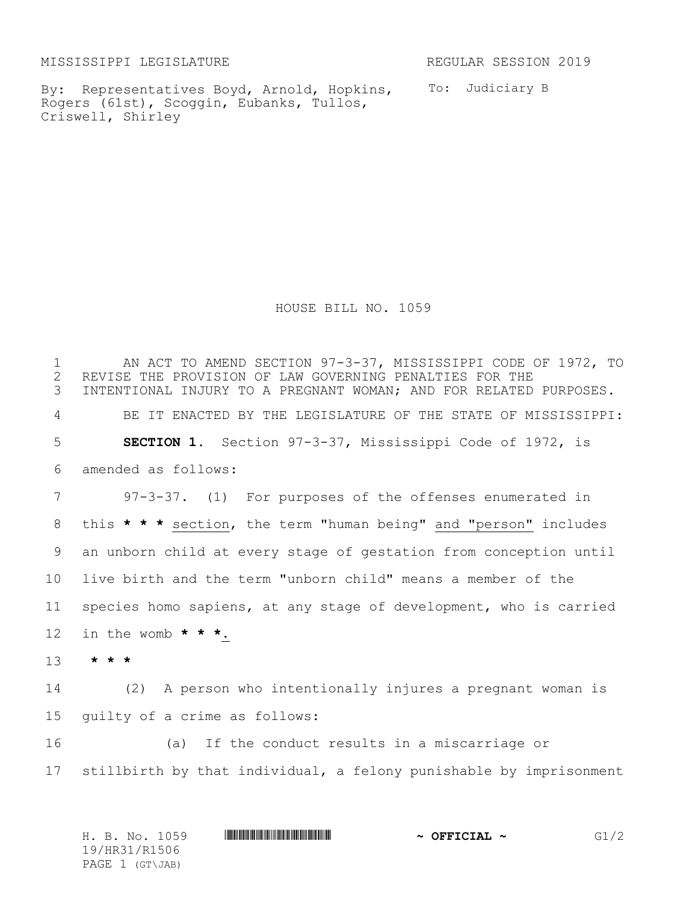MISSISSIPPI LEGISLATURE **REGULAR SESSION 2019** 

By: Representatives Boyd, Arnold, Hopkins, To: Judiciary B Rogers (61st), Scoggin, Eubanks, Tullos, Criswell, Shirley

HOUSE BILL NO. 1059

1 AN ACT TO AMEND SECTION 97-3-37, MISSISSIPPI CODE OF 1972, TO<br>2 REVISE THE PROVISION OF LAW GOVERNING PENALTIES FOR THE 2 REVISE THE PROVISION OF LAW GOVERNING PENALTIES FOR THE<br>3 INTENTIONAL INJURY TO A PREGNANT WOMAN: AND FOR RELATED INTENTIONAL INJURY TO A PREGNANT WOMAN; AND FOR RELATED PURPOSES. BE IT ENACTED BY THE LEGISLATURE OF THE STATE OF MISSISSIPPI: **SECTION 1.** Section 97-3-37, Mississippi Code of 1972, is amended as follows: 97-3-37. (1) For purposes of the offenses enumerated in this **\* \* \*** section, the term "human being" and "person" includes an unborn child at every stage of gestation from conception until live birth and the term "unborn child" means a member of the species homo sapiens, at any stage of development, who is carried in the womb **\* \* \***. 13 **\* \* \*** (2) A person who intentionally injures a pregnant woman is guilty of a crime as follows: (a) If the conduct results in a miscarriage or stillbirth by that individual, a felony punishable by imprisonment

|  |                 | H. B. No. 1059 |  | $\sim$ OFFICIAL $\sim$ | G1/2 |
|--|-----------------|----------------|--|------------------------|------|
|  | 19/HR31/R1506   |                |  |                        |      |
|  | PAGE 1 (GT\JAB) |                |  |                        |      |